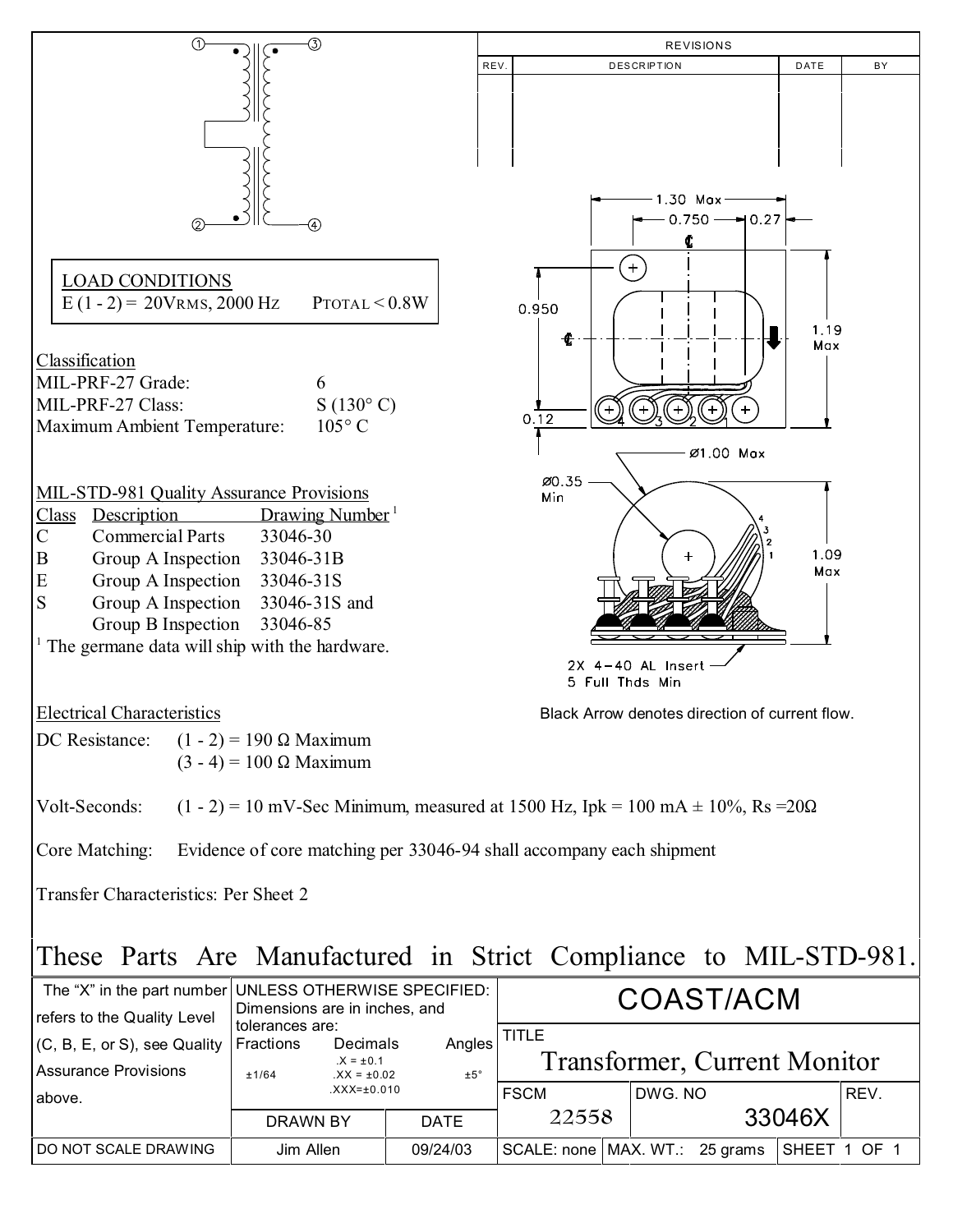

## These Parts Are Manufactured in Strict Compliance to MIL-STD-981.

| The "X" in the part number UNLESS OTHERWISE SPECIFIED:<br>refers to the Quality Level | Dimensions are in inches, and         | COAST/ACM                                   |               |                                              |  |         |  |              |      |
|---------------------------------------------------------------------------------------|---------------------------------------|---------------------------------------------|---------------|----------------------------------------------|--|---------|--|--------------|------|
| $(C, B, E, or S)$ , see Quality<br><b>Assurance Provisions</b>                        | tolerances are:<br>Fractions<br>±1/64 | Decimals<br>$.X = ±0.1$<br>$.XX = \pm 0.02$ | Angles<br>±5° | TITLE<br><b>Transformer, Current Monitor</b> |  |         |  |              |      |
| labove.                                                                               |                                       | $XXX = \pm 0.010$                           |               | <b>FSCM</b>                                  |  | DWG. NO |  |              | REV. |
|                                                                                       | <b>DRAWN BY</b>                       |                                             | <b>DATE</b>   | 22558                                        |  | 33046X  |  |              |      |
| <b>IDO NOT SCALE DRAWING</b>                                                          | Jim Allen                             |                                             | 09/24/03      | SCALE: none   MAX. WT.: 25 grams             |  |         |  | SHEET 1 OF 1 |      |